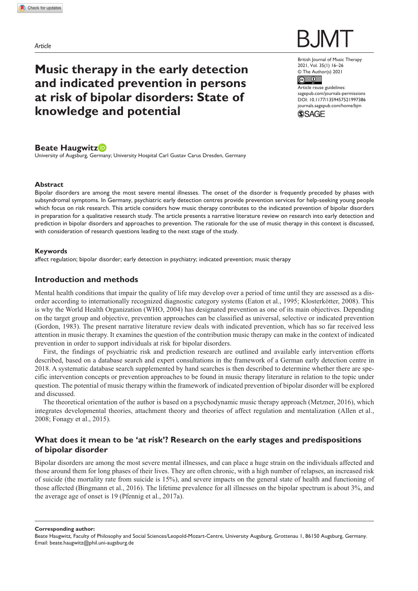*Article*

# **Music therapy in the early detection and indicated prevention in persons at risk of bipolar disorders: State of knowledge and potential**

British Journal of Music Therapy 2021, Vol. 35(1) 16–26 © The Author(s) 2021

 $\circ$   $\circ$ Article reuse guidelines: [sagepub.com/journals-permissions](https://uk.sagepub.com/en-gb/journals-permissions) DOI: 10.1177/1359457521997386 [journals.sagepub.com/home/bjm](https://journals.sagepub.com/home/bjm)



**Beate Haugwitz**

University of Augsburg, Germany; University Hospital Carl Gustav Carus Dresden, Germany

#### **Abstract**

Bipolar disorders are among the most severe mental illnesses. The onset of the disorder is frequently preceded by phases with subsyndromal symptoms. In Germany, psychiatric early detection centres provide prevention services for help-seeking young people which focus on risk research. This article considers how music therapy contributes to the indicated prevention of bipolar disorders in preparation for a qualitative research study. The article presents a narrative literature review on research into early detection and prediction in bipolar disorders and approaches to prevention. The rationale for the use of music therapy in this context is discussed, with consideration of research questions leading to the next stage of the study.

### **Keywords**

affect regulation; bipolar disorder; early detection in psychiatry; indicated prevention; music therapy

# **Introduction and methods**

Mental health conditions that impair the quality of life may develop over a period of time until they are assessed as a disorder according to internationally recognized diagnostic category systems (Eaton et al., 1995; Klosterkötter, 2008). This is why the World Health Organization (WHO, 2004) has designated prevention as one of its main objectives. Depending on the target group and objective, prevention approaches can be classified as universal, selective or indicated prevention (Gordon, 1983). The present narrative literature review deals with indicated prevention, which has so far received less attention in music therapy. It examines the question of the contribution music therapy can make in the context of indicated prevention in order to support individuals at risk for bipolar disorders.

First, the findings of psychiatric risk and prediction research are outlined and available early intervention efforts described, based on a database search and expert consultations in the framework of a German early detection centre in 2018. A systematic database search supplemented by hand searches is then described to determine whether there are specific intervention concepts or prevention approaches to be found in music therapy literature in relation to the topic under question. The potential of music therapy within the framework of indicated prevention of bipolar disorder will be explored and discussed.

The theoretical orientation of the author is based on a psychodynamic music therapy approach (Metzner, 2016), which integrates developmental theories, attachment theory and theories of affect regulation and mentalization (Allen et al., 2008; Fonagy et al., 2015).

# **What does it mean to be 'at risk'? Research on the early stages and predispositions of bipolar disorder**

Bipolar disorders are among the most severe mental illnesses, and can place a huge strain on the individuals affected and those around them for long phases of their lives. They are often chronic, with a high number of relapses, an increased risk of suicide (the mortality rate from suicide is 15%), and severe impacts on the general state of health and functioning of those affected (Bingmann et al., 2016). The lifetime prevalence for all illnesses on the bipolar spectrum is about 3%, and the average age of onset is 19 (Pfennig et al., 2017a).

**Corresponding author:**

Beate Haugwitz, Faculty of Philosophy and Social Sciences/Leopold-Mozart-Centre, University Augsburg, Grottenau 1, 86150 Augsburg, Germany. Email: [beate.haugwitz@phil.uni-augsburg.de](mailto:beate.haugwitz@phil.uni-augsburg.de)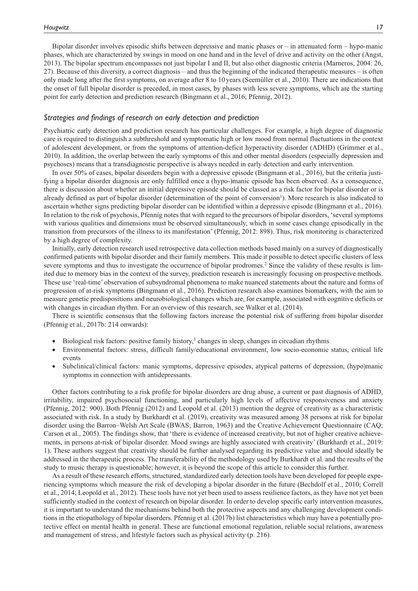Bipolar disorder involves episodic shifts between depressive and manic phases or – in attenuated form – hypo-manic phases, which are characterized by swings in mood on one hand and in the level of drive and activity on the other (Angst, 2013). The bipolar spectrum encompasses not just bipolar I and II, but also other diagnostic criteria (Marneros, 2004: 26, 27). Because of this diversity, a correct diagnosis – and thus the beginning of the indicated therapeutic measures – is often only made long after the first symptoms, on average after 8 to 10years (Seemüller et al., 2010). There are indications that the onset of full bipolar disorder is preceded, in most cases, by phases with less severe symptoms, which are the starting point for early detection and prediction research (Bingmann et al., 2016; Pfennig, 2012).

### *Strategies and findings of research on early detection and prediction*

Psychiatric early detection and prediction research has particular challenges. For example, a high degree of diagnostic care is required to distinguish a subthreshold and symptomatic high or low mood from normal fluctuations in the context of adolescent development, or from the symptoms of attention-deficit hyperactivity disorder (ADHD) (Grimmer et al., 2010). In addition, the overlap between the early symptoms of this and other mental disorders (especially depression and psychoses) means that a transdiagnostic perspective is always needed in early detection and early intervention.

In over 50% of cases, bipolar disorders begin with a depressive episode (Bingmann et al., 2016), but the criteria justifying a bipolar disorder diagnosis are only fulfilled once a (hypo-)manic episode has been observed. As a consequence, there is discussion about whether an initial depressive episode should be classed as a risk factor for bipolar disorder or is already defined as part of bipolar disorder (determination of the point of conversion<sup>1</sup>). More research is also indicated to ascertain whether signs predicting bipolar disorder can be identified within a depressive episode (Bingmann et al., 2016). In relation to the risk of psychosis, Pfennig notes that with regard to the precursors of bipolar disorders, 'several symptoms with various qualities and dimensions must be observed simultaneously, which in some cases change episodically in the transition from precursors of the illness to its manifestation' (Pfennig, 2012: 898). Thus, risk monitoring is characterized by a high degree of complexity.

Initially, early detection research used retrospective data collection methods based mainly on a survey of diagnostically confirmed patients with bipolar disorder and their family members. This made it possible to detect specific clusters of less severe symptoms and thus to investigate the occurrence of bipolar prodromes.<sup>2</sup> Since the validity of these results is limited due to memory bias in the context of the survey, prediction research is increasingly focusing on prospective methods. These use 'real-time' observation of subsyndromal phenomena to make nuanced statements about the nature and forms of progression of at-risk symptoms (Bingmann et al., 2016). Prediction research also examines biomarkers, with the aim to measure genetic predispositions and neurobiological changes which are, for example, associated with cognitive deficits or with changes in circadian rhythm. For an overview of this research, see Walker et al. (2014).

There is scientific consensus that the following factors increase the potential risk of suffering from bipolar disorder (Pfennig et al., 2017b: 214 onwards):

- $\bullet$  Biological risk factors: positive family history,<sup>3</sup> changes in sleep, changes in circadian rhythms
- Environmental factors: stress, difficult family/educational environment, low socio-economic status, critical life events
- Subclinical/clinical factors: manic symptoms, depressive episodes, atypical patterns of depression, (hypo)manic symptoms in connection with antidepressants.

Other factors contributing to a risk profile for bipolar disorders are drug abuse, a current or past diagnosis of ADHD, irritability, impaired psychosocial functioning, and particularly high levels of affective responsiveness and anxiety (Pfennig, 2012: 900). Both Pfennig (2012) and Leopold et al. (2013) mention the degree of creativity as a characteristic associated with risk. In a study by Burkhardt et al. (2019), creativity was measured among 38 persons at risk for bipolar disorder using the Barron–Welsh Art Scale (BWAS; Barron, 1963) and the Creative Achievement Questionnaire (CAQ; Carson et al., 2005). The findings show, that 'there is evidence of increased creativity, but not of higher creative achievements, in persons at-risk of bipolar disorder. Mood swings are highly associated with creativity' (Burkhardt et al., 2019: 1). These authors suggest that creativity should be further analysed regarding its predictive value and should ideally be addressed in the therapeutic process. The transferability of the methodology used by Burkhardt et al. and the results of the study to music therapy is questionable; however, it is beyond the scope of this article to consider this further.

As a result of these research efforts, structured, standardized early detection tools have been developed for people experiencing symptoms which measure the risk of developing a bipolar disorder in the future (Bechdolf et al., 2010; Correll et al., 2014; Leopold et al., 2012). These tools have not yet been used to assess resilience factors, as they have not yet been sufficiently studied in the context of research on bipolar disorder. In order to develop specific early intervention measures, it is important to understand the mechanisms behind both the protective aspects and any challenging development conditions in the etiopathology of bipolar disorders. Pfennig et al. (2017b) list characteristics which may have a potentially protective effect on mental health in general. These are functional emotional regulation, reliable social relations, awareness and management of stress, and lifestyle factors such as physical activity (p. 216).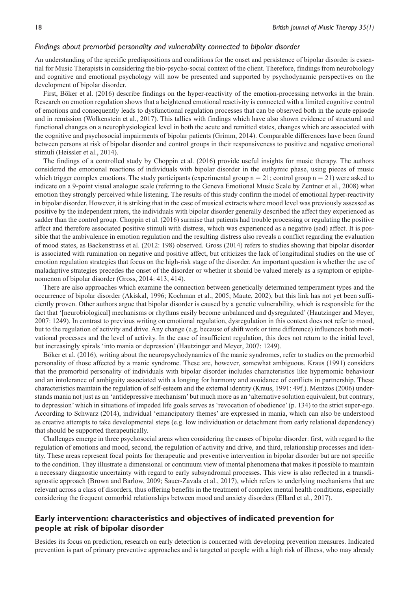#### *Findings about premorbid personality and vulnerability connected to bipolar disorder*

An understanding of the specific predispositions and conditions for the onset and persistence of bipolar disorder is essential for Music Therapists in considering the bio-psycho-social context of the client. Therefore, findings from neurobiology and cognitive and emotional psychology will now be presented and supported by psychodynamic perspectives on the development of bipolar disorder.

First, Böker et al. (2016) describe findings on the hyper-reactivity of the emotion-processing networks in the brain. Research on emotion regulation shows that a heightened emotional reactivity is connected with a limited cognitive control of emotions and consequently leads to dysfunctional regulation processes that can be observed both in the acute episode and in remission (Wolkenstein et al., 2017). This tallies with findings which have also shown evidence of structural and functional changes on a neurophysiological level in both the acute and remitted states, changes which are associated with the cognitive and psychosocial impairments of bipolar patients (Grimm, 2014). Comparable differences have been found between persons at risk of bipolar disorder and control groups in their responsiveness to positive and negative emotional stimuli (Heissler et al., 2014).

The findings of a controlled study by Choppin et al. (2016) provide useful insights for music therapy. The authors considered the emotional reactions of individuals with bipolar disorder in the euthymic phase, using pieces of music which trigger complex emotions. The study participants (experimental group  $n = 21$ ; control group  $n = 21$ ) were asked to indicate on a 9-point visual analogue scale (referring to the Geneva Emotional Music Scale by Zentner et al., 2008) what emotion they strongly perceived while listening. The results of this study confirm the model of emotional hyper-reactivity in bipolar disorder. However, it is striking that in the case of musical extracts where mood level was previously assessed as positive by the independent raters, the individuals with bipolar disorder generally described the affect they experienced as sadder than the control group. Choppin et al. (2016) surmise that patients had trouble processing or regulating the positive affect and therefore associated positive stimuli with distress, which was experienced as a negative (sad) affect. It is possible that the ambivalence in emotion regulation and the resulting distress also reveals a conflict regarding the evaluation of mood states, as Backenstrass et al. (2012: 198) observed. Gross (2014) refers to studies showing that bipolar disorder is associated with rumination on negative and positive affect, but criticizes the lack of longitudinal studies on the use of emotion regulation strategies that focus on the high-risk stage of the disorder. An important question is whether the use of maladaptive strategies precedes the onset of the disorder or whether it should be valued merely as a symptom or epiphenomenon of bipolar disorder (Gross, 2014: 413, 414).

There are also approaches which examine the connection between genetically determined temperament types and the occurrence of bipolar disorder (Akiskal, 1996; Kochman et al., 2005; Maute, 2002), but this link has not yet been sufficiently proven. Other authors argue that bipolar disorder is caused by a genetic vulnerability, which is responsible for the fact that '[neurobiological] mechanisms or rhythms easily become unbalanced and dysregulated' (Hautzinger and Meyer, 2007: 1249). In contrast to previous writing on emotional regulation, dysregulation in this context does not refer to mood, but to the regulation of activity and drive. Any change (e.g. because of shift work or time difference) influences both motivational processes and the level of activity. In the case of insufficient regulation, this does not return to the initial level, but increasingly spirals 'into mania or depression' (Hautzinger and Meyer, 2007: 1249).

Böker et al. (2016), writing about the neuropsychodynamics of the manic syndromes, refer to studies on the premorbid personality of those affected by a manic syndrome. These are, however, somewhat ambiguous. Kraus (1991) considers that the premorbid personality of individuals with bipolar disorder includes characteristics like hypernomic behaviour and an intolerance of ambiguity associated with a longing for harmony and avoidance of conflicts in partnership. These characteristics maintain the regulation of self-esteem and the external identity (Kraus, 1991: 49f.). Mentzos (2006) understands mania not just as an 'antidepressive mechanism' but much more as an 'alternative solution equivalent, but contrary, to depression' which in situations of impeded life goals serves as 'revocation of obedience' (p. 134) to the strict super-ego. According to Schwarz (2014), individual 'emancipatory themes' are expressed in mania, which can also be understood as creative attempts to take developmental steps (e.g. low individuation or detachment from early relational dependency) that should be supported therapeutically.

Challenges emerge in three psychosocial areas when considering the causes of bipolar disorder: first, with regard to the regulation of emotions and mood, second, the regulation of activity and drive, and third, relationship processes and identity. These areas represent focal points for therapeutic and preventive intervention in bipolar disorder but are not specific to the condition. They illustrate a dimensional or continuum view of mental phenomena that makes it possible to maintain a necessary diagnostic uncertainty with regard to early subsyndromal processes. This view is also reflected in a transdiagnostic approach (Brown and Barlow, 2009; Sauer-Zavala et al., 2017), which refers to underlying mechanisms that are relevant across a class of disorders, thus offering benefits in the treatment of complex mental health conditions, especially considering the frequent comorbid relationships between mood and anxiety disorders (Ellard et al., 2017).

# **Early intervention: characteristics and objectives of indicated prevention for people at risk of bipolar disorder**

Besides its focus on prediction, research on early detection is concerned with developing prevention measures. Indicated prevention is part of primary preventive approaches and is targeted at people with a high risk of illness, who may already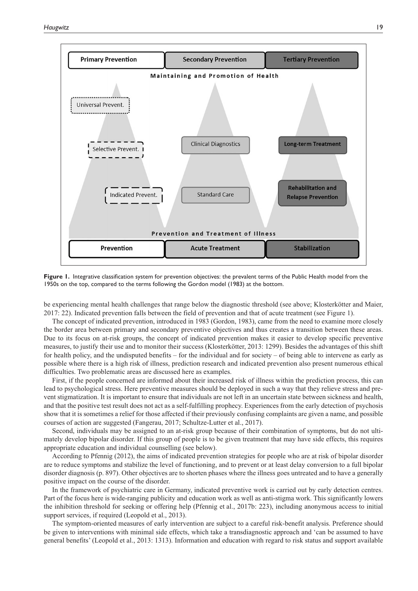

**Figure 1.** Integrative classification system for prevention objectives: the prevalent terms of the Public Health model from the 1950s on the top, compared to the terms following the Gordon model (1983) at the bottom.

be experiencing mental health challenges that range below the diagnostic threshold (see above; Klosterkötter and Maier, 2017: 22). Indicated prevention falls between the field of prevention and that of acute treatment (see Figure 1).

The concept of indicated prevention, introduced in 1983 (Gordon, 1983), came from the need to examine more closely the border area between primary and secondary preventive objectives and thus creates a transition between these areas. Due to its focus on at-risk groups, the concept of indicated prevention makes it easier to develop specific preventive measures, to justify their use and to monitor their success (Klosterkötter, 2013: 1299). Besides the advantages of this shift for health policy, and the undisputed benefits – for the individual and for society – of being able to intervene as early as possible where there is a high risk of illness, prediction research and indicated prevention also present numerous ethical difficulties. Two problematic areas are discussed here as examples.

First, if the people concerned are informed about their increased risk of illness within the prediction process, this can lead to psychological stress. Here preventive measures should be deployed in such a way that they relieve stress and prevent stigmatization. It is important to ensure that individuals are not left in an uncertain state between sickness and health, and that the positive test result does not act as a self-fulfilling prophecy. Experiences from the early detection of psychosis show that it is sometimes a relief for those affected if their previously confusing complaints are given a name, and possible courses of action are suggested (Fangerau, 2017; Schultze-Lutter et al., 2017).

Second, individuals may be assigned to an at-risk group because of their combination of symptoms, but do not ultimately develop bipolar disorder. If this group of people is to be given treatment that may have side effects, this requires appropriate education and individual counselling (see below).

According to Pfennig (2012), the aims of indicated prevention strategies for people who are at risk of bipolar disorder are to reduce symptoms and stabilize the level of functioning, and to prevent or at least delay conversion to a full bipolar disorder diagnosis (p. 897). Other objectives are to shorten phases where the illness goes untreated and to have a generally positive impact on the course of the disorder.

In the framework of psychiatric care in Germany, indicated preventive work is carried out by early detection centres. Part of the focus here is wide-ranging publicity and education work as well as anti-stigma work. This significantly lowers the inhibition threshold for seeking or offering help (Pfennig et al., 2017b: 223), including anonymous access to initial support services, if required (Leopold et al., 2013).

The symptom-oriented measures of early intervention are subject to a careful risk-benefit analysis. Preference should be given to interventions with minimal side effects, which take a transdiagnostic approach and 'can be assumed to have general benefits' (Leopold et al., 2013: 1313). Information and education with regard to risk status and support available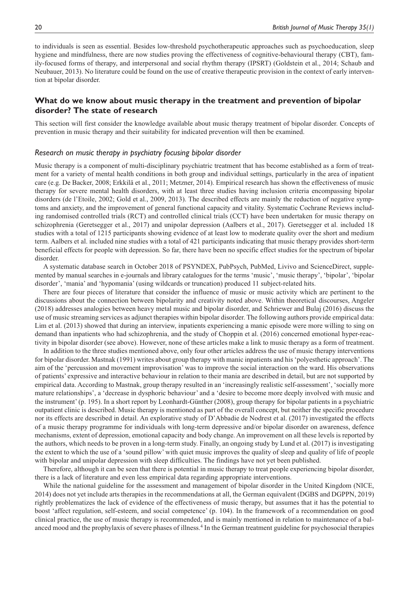to individuals is seen as essential. Besides low-threshold psychotherapeutic approaches such as psychoeducation, sleep hygiene and mindfulness, there are now studies proving the effectiveness of cognitive-behavioural therapy (CBT), family-focused forms of therapy, and interpersonal and social rhythm therapy (IPSRT) (Goldstein et al., 2014; Schaub and Neubauer, 2013). No literature could be found on the use of creative therapeutic provision in the context of early intervention at bipolar disorder.

# **What do we know about music therapy in the treatment and prevention of bipolar disorder? The state of research**

This section will first consider the knowledge available about music therapy treatment of bipolar disorder. Concepts of prevention in music therapy and their suitability for indicated prevention will then be examined.

#### *Research on music therapy in psychiatry focusing bipolar disorder*

Music therapy is a component of multi-disciplinary psychiatric treatment that has become established as a form of treatment for a variety of mental health conditions in both group and individual settings, particularly in the area of inpatient care (e.g. De Backer, 2008; Erkkilä et al., 2011; Metzner, 2014). Empirical research has shown the effectiveness of music therapy for severe mental health disorders, with at least three studies having inclusion criteria encompassing bipolar disorders (de l'Etoile, 2002; Gold et al., 2009, 2013). The described effects are mainly the reduction of negative symptoms and anxiety, and the improvement of general functional capacity and vitality. Systematic Cochrane Reviews including randomised controlled trials (RCT) and controlled clinical trials (CCT) have been undertaken for music therapy on schizophrenia (Geretsegger et al., 2017) and unipolar depression (Aalbers et al., 2017). Geretsegger et al. included 18 studies with a total of 1215 participants showing evidence of at least low to moderate quality over the short and medium term. Aalbers et al. included nine studies with a total of 421 participants indicating that music therapy provides short-term beneficial effects for people with depression. So far, there have been no specific effect studies for the spectrum of bipolar disorder.

A systematic database search in October 2018 of PSYNDEX, PubPsych, PubMed, Livivo and ScienceDirect, supplemented by manual searches in e-journals and library catalogues for the terms 'music', 'music therapy', 'bipolar', 'bipolar disorder', 'mania' and 'hypomania' (using wildcards or truncation) produced 11 subject-related hits.

There are four pieces of literature that consider the influence of music or music activity which are pertinent to the discussions about the connection between bipolarity and creativity noted above. Within theoretical discourses, Angeler (2018) addresses analogies between heavy metal music and bipolar disorder, and Schriewer and Bulaj (2016) discuss the use of music streaming services as adjunct therapies within bipolar disorder. The following authors provide empirical data: Lim et al. (2013) showed that during an interview, inpatients experiencing a manic episode were more willing to sing on demand than inpatients who had schizophrenia, and the study of Choppin et al. (2016) concerned emotional hyper-reactivity in bipolar disorder (see above). However, none of these articles make a link to music therapy as a form of treatment.

In addition to the three studies mentioned above, only four other articles address the use of music therapy interventions for bipolar disorder. Mastnak (1991) writes about group therapy with manic inpatients and his 'polyesthetic approach'. The aim of the 'percussion and movement improvisation' was to improve the social interaction on the ward. His observations of patients' expressive and interactive behaviour in relation to their mania are described in detail, but are not supported by empirical data. According to Mastnak, group therapy resulted in an 'increasingly realistic self-assessment', 'socially more mature relationships', a 'decrease in dysphoric behaviour' and a 'desire to become more deeply involved with music and the instrument' (p. 195). In a short report by Leonhardt-Günther (2008), group therapy for bipolar patients in a psychiatric outpatient clinic is described. Music therapy is mentioned as part of the overall concept, but neither the specific procedure nor its effects are described in detail. An explorative study of D'Abbadie de Nodrest et al. (2017) investigated the effects of a music therapy programme for individuals with long-term depressive and/or bipolar disorder on awareness, defence mechanisms, extent of depression, emotional capacity and body change. An improvement on all these levels is reported by the authors, which needs to be proven in a long-term study. Finally, an ongoing study by Lund et al. (2017) is investigating the extent to which the use of a 'sound pillow' with quiet music improves the quality of sleep and quality of life of people with bipolar and unipolar depression with sleep difficulties. The findings have not yet been published.

Therefore, although it can be seen that there is potential in music therapy to treat people experiencing bipolar disorder, there is a lack of literature and even less empirical data regarding appropriate interventions.

While the national guideline for the assessment and management of bipolar disorder in the United Kingdom (NICE, 2014) does not yet include arts therapies in the recommendations at all, the German equivalent (DGBS and DGPPN, 2019) rightly problematizes the lack of evidence of the effectiveness of music therapy, but assumes that it has the potential to boost 'affect regulation, self-esteem, and social competence' (p. 104). In the framework of a recommendation on good clinical practice, the use of music therapy is recommended, and is mainly mentioned in relation to maintenance of a balanced mood and the prophylaxis of severe phases of illness.<sup>4</sup> In the German treatment guideline for psychosocial therapies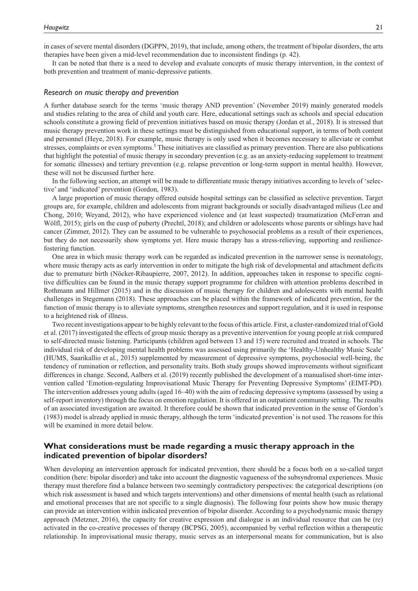in cases of severe mental disorders (DGPPN, 2019), that include, among others, the treatment of bipolar disorders, the arts therapies have been given a mid-level recommendation due to inconsistent findings (p. 42).

It can be noted that there is a need to develop and evaluate concepts of music therapy intervention, in the context of both prevention and treatment of manic-depressive patients.

#### *Research on music therapy and prevention*

A further database search for the terms 'music therapy AND prevention' (November 2019) mainly generated models and studies relating to the area of child and youth care. Here, educational settings such as schools and special education schools constitute a growing field of prevention initiatives based on music therapy (Jordan et al., 2018). It is stressed that music therapy prevention work in these settings must be distinguished from educational support, in terms of both content and personnel (Heye, 2018). For example, music therapy is only used when it becomes necessary to alleviate or combat stresses, complaints or even symptoms.<sup>5</sup> These initiatives are classified as primary prevention. There are also publications that highlight the potential of music therapy in secondary prevention (e.g. as an anxiety-reducing supplement to treatment for somatic illnesses) and tertiary prevention (e.g. relapse prevention or long-term support in mental health). However, these will not be discussed further here.

In the following section, an attempt will be made to differentiate music therapy initiatives according to levels of 'selective' and 'indicated' prevention (Gordon, 1983).

A large proportion of music therapy offered outside hospital settings can be classified as selective prevention. Target groups are, for example, children and adolescents from migrant backgrounds or socially disadvantaged milieus (Lee and Chong, 2010; Weyand, 2012), who have experienced violence and (at least suspected) traumatization (McFerran and Wölfl, 2015); girls on the cusp of puberty (Prechtl, 2018); and children or adolescents whose parents or siblings have had cancer (Zimmer, 2012). They can be assumed to be vulnerable to psychosocial problems as a result of their experiences, but they do not necessarily show symptoms yet. Here music therapy has a stress-relieving, supporting and resiliencefostering function.

One area in which music therapy work can be regarded as indicated prevention in the narrower sense is neonatology, where music therapy acts as early intervention in order to mitigate the high risk of developmental and attachment deficits due to premature birth (Nöcker-Ribaupierre, 2007, 2012). In addition, approaches taken in response to specific cognitive difficulties can be found in the music therapy support programme for children with attention problems described in Rothmann and Hillmer (2015) and in the discussion of music therapy for children and adolescents with mental health challenges in Stegemann (2018). These approaches can be placed within the framework of indicated prevention, for the function of music therapy is to alleviate symptoms, strengthen resources and support regulation, and it is used in response to a heightened risk of illness.

Two recent investigations appear to be highly relevant to the focus of this article. First, a cluster-randomized trial of Gold et al. (2017) investigated the effects of group music therapy as a preventive intervention for young people at risk compared to self-directed music listening. Participants (children aged between 13 and 15) were recruited and treated in schools. The individual risk of developing mental health problems was assessed using primarily the 'Healthy-Unhealthy Music Scale' (HUMS, Saarikallio et al., 2015) supplemented by measurement of depressive symptoms, psychosocial well-being, the tendency of rumination or reflection, and personality traits. Both study groups showed improvements without significant differences in change. Second, Aalbers et al. (2019) recently published the development of a manualised short-time intervention called 'Emotion-regulating Improvisational Music Therapy for Preventing Depressive Symptoms' (EIMT-PD). The intervention addresses young adults (aged 16–40) with the aim of reducing depressive symptoms (assessed by using a self-report inventory) through the focus on emotion regulation. It is offered in an outpatient community setting. The results of an associated investigation are awaited. It therefore could be shown that indicated prevention in the sense of Gordon's (1983) model is already applied in music therapy, although the term 'indicated prevention' is not used. The reasons for this will be examined in more detail below.

### **What considerations must be made regarding a music therapy approach in the indicated prevention of bipolar disorders?**

When developing an intervention approach for indicated prevention, there should be a focus both on a so-called target condition (here: bipolar disorder) and take into account the diagnostic vagueness of the subsyndromal experiences. Music therapy must therefore find a balance between two seemingly contradictory perspectives: the categorical descriptions (on which risk assessment is based and which targets interventions) and other dimensions of mental health (such as relational and emotional processes that are not specific to a single diagnosis). The following four points show how music therapy can provide an intervention within indicated prevention of bipolar disorder. According to a psychodynamic music therapy approach (Metzner, 2016), the capacity for creative expression and dialogue is an individual resource that can be (re) activated in the co-creative processes of therapy (BCPSG, 2005), accompanied by verbal reflection within a therapeutic relationship. In improvisational music therapy, music serves as an interpersonal means for communication, but is also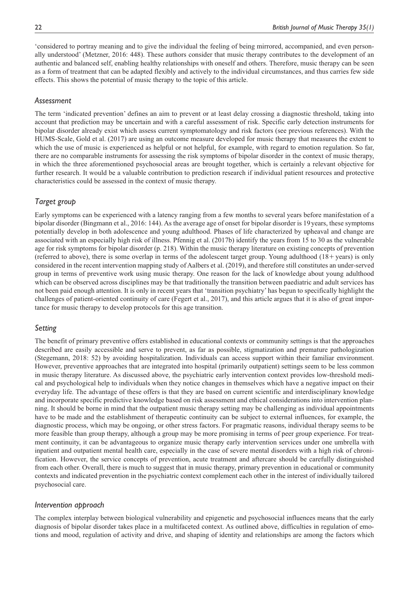'considered to portray meaning and to give the individual the feeling of being mirrored, accompanied, and even personally understood' (Metzner, 2016: 448). These authors consider that music therapy contributes to the development of an authentic and balanced self, enabling healthy relationships with oneself and others. Therefore, music therapy can be seen as a form of treatment that can be adapted flexibly and actively to the individual circumstances, and thus carries few side effects. This shows the potential of music therapy to the topic of this article.

### *Assessment*

The term 'indicated prevention' defines an aim to prevent or at least delay crossing a diagnostic threshold, taking into account that prediction may be uncertain and with a careful assessment of risk. Specific early detection instruments for bipolar disorder already exist which assess current symptomatology and risk factors (see previous references). With the HUMS-Scale, Gold et al. (2017) are using an outcome measure developed for music therapy that measures the extent to which the use of music is experienced as helpful or not helpful, for example, with regard to emotion regulation. So far, there are no comparable instruments for assessing the risk symptoms of bipolar disorder in the context of music therapy, in which the three aforementioned psychosocial areas are brought together, which is certainly a relevant objective for further research. It would be a valuable contribution to prediction research if individual patient resources and protective characteristics could be assessed in the context of music therapy.

# *Target group*

Early symptoms can be experienced with a latency ranging from a few months to several years before manifestation of a bipolar disorder (Bingmann et al., 2016: 144). As the average age of onset for bipolar disorder is 19years, these symptoms potentially develop in both adolescence and young adulthood. Phases of life characterized by upheaval and change are associated with an especially high risk of illness. Pfennig et al. (2017b) identify the years from 15 to 30 as the vulnerable age for risk symptoms for bipolar disorder (p. 218). Within the music therapy literature on existing concepts of prevention (referred to above), there is some overlap in terms of the adolescent target group. Young adulthood (18+years) is only considered in the recent intervention mapping study of Aalbers et al. (2019), and therefore still constitutes an under-served group in terms of preventive work using music therapy. One reason for the lack of knowledge about young adulthood which can be observed across disciplines may be that traditionally the transition between paediatric and adult services has not been paid enough attention. It is only in recent years that 'transition psychiatry' has begun to specifically highlight the challenges of patient-oriented continuity of care (Fegert et al., 2017), and this article argues that it is also of great importance for music therapy to develop protocols for this age transition.

# *Setting*

The benefit of primary preventive offers established in educational contexts or community settings is that the approaches described are easily accessible and serve to prevent, as far as possible, stigmatization and premature pathologization (Stegemann, 2018: 52) by avoiding hospitalization. Individuals can access support within their familiar environment. However, preventive approaches that are integrated into hospital (primarily outpatient) settings seem to be less common in music therapy literature. As discussed above, the psychiatric early intervention context provides low-threshold medical and psychological help to individuals when they notice changes in themselves which have a negative impact on their everyday life. The advantage of these offers is that they are based on current scientific and interdisciplinary knowledge and incorporate specific predictive knowledge based on risk assessment and ethical considerations into intervention planning. It should be borne in mind that the outpatient music therapy setting may be challenging as individual appointments have to be made and the establishment of therapeutic continuity can be subject to external influences, for example, the diagnostic process, which may be ongoing, or other stress factors. For pragmatic reasons, individual therapy seems to be more feasible than group therapy, although a group may be more promising in terms of peer group experience. For treatment continuity, it can be advantageous to organize music therapy early intervention services under one umbrella with inpatient and outpatient mental health care, especially in the case of severe mental disorders with a high risk of chronification. However, the service concepts of prevention, acute treatment and aftercare should be carefully distinguished from each other. Overall, there is much to suggest that in music therapy, primary prevention in educational or community contexts and indicated prevention in the psychiatric context complement each other in the interest of individually tailored psychosocial care.

### *Intervention approach*

The complex interplay between biological vulnerability and epigenetic and psychosocial influences means that the early diagnosis of bipolar disorder takes place in a multifaceted context. As outlined above, difficulties in regulation of emotions and mood, regulation of activity and drive, and shaping of identity and relationships are among the factors which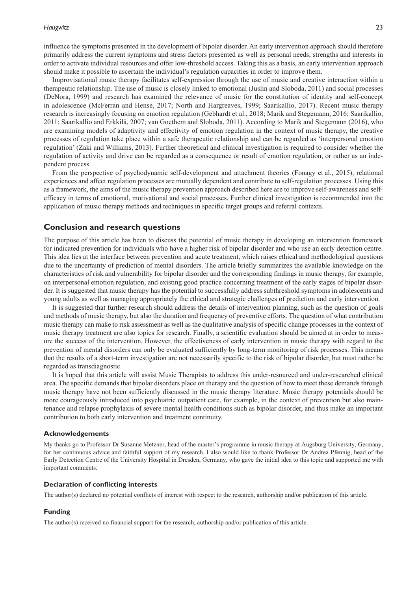influence the symptoms presented in the development of bipolar disorder. An early intervention approach should therefore primarily address the current symptoms and stress factors presented as well as personal needs, strengths and interests in order to activate individual resources and offer low-threshold access. Taking this as a basis, an early intervention approach should make it possible to ascertain the individual's regulation capacities in order to improve them.

Improvisational music therapy facilitates self-expression through the use of music and creative interaction within a therapeutic relationship. The use of music is closely linked to emotional (Juslin and Sloboda, 2011) and social processes (DeNora, 1999) and research has examined the relevance of music for the constitution of identity and self-concept in adolescence (McFerran and Hense, 2017; North and Hargreaves, 1999; Saarikallio, 2017). Recent music therapy research is increasingly focusing on emotion regulation (Gebhardt et al., 2018; Marik and Stegemann, 2016; Saarikallio, 2011; Saarikallio and Erkkilä, 2007; van Goethem and Sloboda, 2011). According to Marik and Stegemann (2016), who are examining models of adaptivity and effectivity of emotion regulation in the context of music therapy, the creative processes of regulation take place within a safe therapeutic relationship and can be regarded as 'interpersonal emotion regulation' (Zaki and Williams, 2013). Further theoretical and clinical investigation is required to consider whether the regulation of activity and drive can be regarded as a consequence or result of emotion regulation, or rather as an independent process.

From the perspective of psychodynamic self-development and attachment theories (Fonagy et al., 2015), relational experiences and affect regulation processes are mutually dependent and contribute to self-regulation processes. Using this as a framework, the aims of the music therapy prevention approach described here are to improve self-awareness and selfefficacy in terms of emotional, motivational and social processes. Further clinical investigation is recommended into the application of music therapy methods and techniques in specific target groups and referral contexts.

### **Conclusion and research questions**

The purpose of this article has been to discuss the potential of music therapy in developing an intervention framework for indicated prevention for individuals who have a higher risk of bipolar disorder and who use an early detection centre. This idea lies at the interface between prevention and acute treatment, which raises ethical and methodological questions due to the uncertainty of prediction of mental disorders. The article briefly summarizes the available knowledge on the characteristics of risk and vulnerability for bipolar disorder and the corresponding findings in music therapy, for example, on interpersonal emotion regulation, and existing good practice concerning treatment of the early stages of bipolar disorder. It is suggested that music therapy has the potential to successfully address subthreshold symptoms in adolescents and young adults as well as managing appropriately the ethical and strategic challenges of prediction and early intervention.

It is suggested that further research should address the details of intervention planning, such as the question of goals and methods of music therapy, but also the duration and frequency of preventive efforts. The question of what contribution music therapy can make to risk assessment as well as the qualitative analysis of specific change processes in the context of music therapy treatment are also topics for research. Finally, a scientific evaluation should be aimed at in order to measure the success of the intervention. However, the effectiveness of early intervention in music therapy with regard to the prevention of mental disorders can only be evaluated sufficiently by long-term monitoring of risk processes. This means that the results of a short-term investigation are not necessarily specific to the risk of bipolar disorder, but must rather be regarded as transdiagnostic.

It is hoped that this article will assist Music Therapists to address this under-resourced and under-researched clinical area. The specific demands that bipolar disorders place on therapy and the question of how to meet these demands through music therapy have not been sufficiently discussed in the music therapy literature. Music therapy potentials should be more courageously introduced into psychiatric outpatient care, for example, in the context of prevention but also maintenance and relapse prophylaxis of severe mental health conditions such as bipolar disorder, and thus make an important contribution to both early intervention and treatment continuity.

#### **Acknowledgements**

My thanks go to Professor Dr Susanne Metzner, head of the master's programme in music therapy at Augsburg University, Germany, for her continuous advice and faithful support of my research. I also would like to thank Professor Dr Andrea Pfennig, head of the Early Detection Centre of the University Hospital in Dresden, Germany, who gave the initial idea to this topic and supported me with important comments.

#### **Declaration of conflicting interests**

The author(s) declared no potential conflicts of interest with respect to the research, authorship and/or publication of this article.

### **Funding**

The author(s) received no financial support for the research, authorship and/or publication of this article.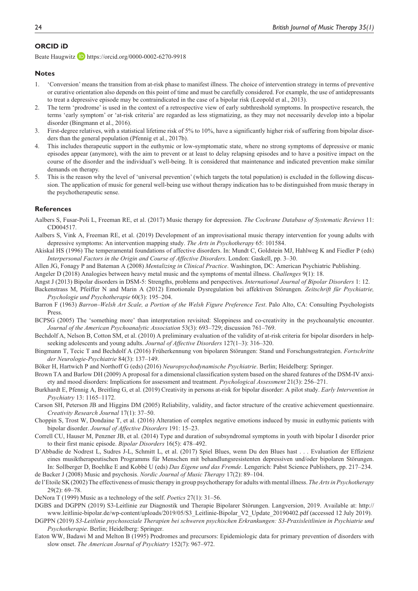### **ORCID iD**

Beate Haugwitz **D** <https://orcid.org/0000-0002-6270-9918>

#### **Notes**

- 1. 'Conversion' means the transition from at-risk phase to manifest illness. The choice of intervention strategy in terms of preventive or curative orientation also depends on this point of time and must be carefully considered. For example, the use of antidepressants to treat a depressive episode may be contraindicated in the case of a bipolar risk (Leopold et al., 2013).
- 2. The term 'prodrome' is used in the context of a retrospective view of early subthreshold symptoms. In prospective research, the terms 'early symptom' or 'at-risk criteria' are regarded as less stigmatizing, as they may not necessarily develop into a bipolar disorder (Bingmann et al., 2016).
- 3. First-degree relatives, with a statistical lifetime risk of 5% to 10%, have a significantly higher risk of suffering from bipolar disorders than the general population (Pfennig et al., 2017b).
- 4. This includes therapeutic support in the euthymic or low-symptomatic state, where no strong symptoms of depressive or manic episodes appear (anymore), with the aim to prevent or at least to delay relapsing episodes and to have a positive impact on the course of the disorder and the individual's well-being. It is considered that maintenance and indicated prevention make similar demands on therapy.
- 5. This is the reason why the level of 'universal prevention' (which targets the total population) is excluded in the following discussion. The application of music for general well-being use without therapy indication has to be distinguished from music therapy in the psychotherapeutic sense.

#### **References**

- Aalbers S, Fusar-Poli L, Freeman RE, et al. (2017) Music therapy for depression. *The Cochrane Database of Systematic Reviews* 11: CD004517.
- Aalbers S, Vink A, Freeman RE, et al. (2019) Development of an improvisational music therapy intervention for young adults with depressive symptoms: An intervention mapping study. *The Arts in Psychotherapy* 65: 101584.
- Akiskal HS (1996) The temperamental foundations of affective disorders. In: Mundt C, Goldstein MJ, Hahlweg K and Fiedler P (eds) *Interpersonal Factors in the Origin and Course of Affective Disorders*. London: Gaskell, pp. 3–30.
- Allen JG, Fonagy P and Bateman A (2008) *Mentalizing in Clinical Practice*. Washington, DC: American Psychiatric Publishing.

Angeler D (2018) Analogies between heavy metal music and the symptoms of mental illness. *Challenges* 9(1): 18.

- Angst J (2013) Bipolar disorders in DSM-5: Strengths, problems and perspectives. *International Journal of Bipolar Disorders* 1: 12.
- Backenstrass M, Pfeiffer N and Marin A (2012) Emotionale Dysregulation bei affektiven Störungen. *Zeitschrift für Psychiatrie, Psychologie und Psychotherapie* 60(3): 195–204.
- Barron F (1963) *Barron–Welsh Art Scale, a Portion of the Welsh Figure Preference Test*. Palo Alto, CA: Consulting Psychologists Press.
- BCPSG (2005) The 'something more' than interpretation revisited: Sloppiness and co-creativity in the psychoanalytic encounter. *Journal of the American Psychoanalytic Association* 53(3): 693–729; discussion 761–769.
- Bechdolf A, Nelson B, Cotton SM, et al. (2010) A preliminary evaluation of the validity of at-risk criteria for bipolar disorders in helpseeking adolescents and young adults. *Journal of Affective Disorders* 127(1–3): 316–320.
- Bingmann T, Tecic T and Bechdolf A (2016) Früherkennung von bipolaren Störungen: Stand und Forschungsstrategien. *Fortschritte der Neurologie-Psychiatrie* 84(3): 137–149.
- Böker H, Hartwich P and Northoff G (eds) (2016) *Neuropsychodynamische Psychiatrie*. Berlin; Heidelberg: Springer.
- Brown TA and Barlow DH (2009) A proposal for a dimensional classification system based on the shared features of the DSM-IV anxiety and mood disorders: Implications for assessment and treatment. *Psychological Assessment* 21(3): 256–271.
- Burkhardt E, Pfennig A, Breitling G, et al. (2019) Creativity in persons at-risk for bipolar disorder: A pilot study. *Early Intervention in Psychiatry* 13: 1165–1172.
- Carson SH, Peterson JB and Higgins DM (2005) Reliability, validity, and factor structure of the creative achievement questionnaire. *Creativity Research Journal* 17(1): 37–50.
- Choppin S, Trost W, Dondaine T, et al. (2016) Alteration of complex negative emotions induced by music in euthymic patients with bipolar disorder. *Journal of Affective Disorders* 191: 15–23.
- Correll CU, Hauser M, Penzner JB, et al. (2014) Type and duration of subsyndromal symptoms in youth with bipolar I disorder prior to their first manic episode. *Bipolar Disorders* 16(5): 478–492.
- D'Abbadie de Nodrest L, Sudres J-L, Schmitt L, et al. (2017) Spiel Blues, wenn Du den Blues hast . . . Evaluation der Effizienz eines musiktherapeutischen Programms für Menschen mit behandlungsresistenten depressiven und/oder bipolaren Störungen. In: Sollberger D, Boehlke E and Kobbé U (eds) *Das Eigene und das Fremde*. Lengerich: Pabst Science Publishers, pp. 217–234. de Backer J (2008) Music and psychosis. *Nordic Journal of Music Therapy* 17(2): 89–104.
- de l'Etoile SK (2002) The effectiveness of music therapy in group psychotherapy for adults with mental illness. *The Arts in Psychotherapy* 29(2): 69–78.
- DeNora T (1999) Music as a technology of the self. *Poetics* 27(1): 31–56.
- DGBS and DGPPN (2019) S3-Leitlinie zur Diagnostik und Therapie Bipolarer Störungen. Langversion, 2019. Available at: [http://](http://www.leitlinie-bipolar.de/wp-content/uploads/2019/05/S3_Leitlinie-Bipolar_V2_Update_20190402.pdf) [www.leitlinie-bipolar.de/wp-content/uploads/2019/05/S3\\_Leitlinie-Bipolar\\_V2\\_Update\\_20190402.pdf](http://www.leitlinie-bipolar.de/wp-content/uploads/2019/05/S3_Leitlinie-Bipolar_V2_Update_20190402.pdf) (accessed 12 July 2019).
- DGPPN (2019) *S3-Leitlinie psychosoziale Therapien bei schweren psychischen Erkrankungen: S3-Praxisleitlinien in Psychiatrie und Psychotherapie*. Berlin; Heidelberg: Springer.
- Eaton WW, Badawi M and Melton B (1995) Prodromes and precursors: Epidemiologic data for primary prevention of disorders with slow onset. *The American Journal of Psychiatry* 152(7): 967–972.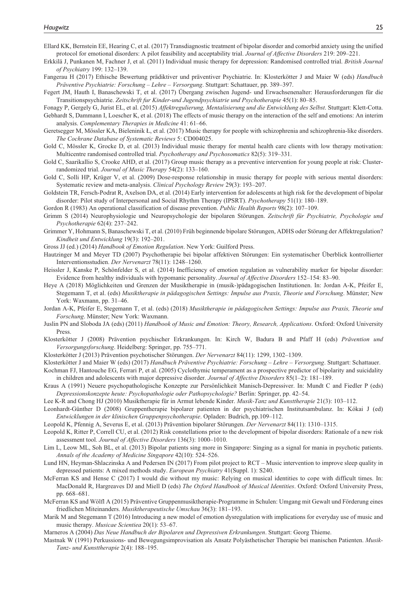- Ellard KK, Bernstein EE, Hearing C, et al. (2017) Transdiagnostic treatment of bipolar disorder and comorbid anxiety using the unified protocol for emotional disorders: A pilot feasibility and acceptability trial. *Journal of Affective Disorders* 219: 209–221.
- Erkkilä J, Punkanen M, Fachner J, et al. (2011) Individual music therapy for depression: Randomised controlled trial. *British Journal of Psychiatry* 199: 132–139.
- Fangerau H (2017) Ethische Bewertung prädiktiver und präventiver Psychiatrie. In: Klosterkötter J and Maier W (eds) *Handbuch Präventive Psychiatrie: Forschung – Lehre – Versorgung*. Stuttgart: Schattauer, pp. 389–397.
- Fegert JM, Hauth I, Banaschewski T, et al. (2017) Übergang zwischen Jugend- und Erwachsenenalter: Herausforderungen für die Transitionspsychiatrie. *Zeitschrift fur Kinder-und Jugendpsychiatrie und Psychotherapie* 45(1): 80–85.

Fonagy P, Gergely G, Jurist EL, et al. (2015) *Affektregulierung, Mentalisierung und die Entwicklung des Selbst*. Stuttgart: Klett-Cotta. Gebhardt S, Dammann I, Loescher K, et al. (2018) The effects of music therapy on the interaction of the self and emotions: An interim

analysis. *Complementary Therapies in Medicine* 41: 61–66.

Geretsegger M, Mössler KA, Bieleninik Ł, et al. (2017) Music therapy for people with schizophrenia and schizophrenia-like disorders. *The Cochrane Database of Systematic Reviews* 5: CD004025.

Gold C, Mössler K, Grocke D, et al. (2013) Individual music therapy for mental health care clients with low therapy motivation: Multicentre randomised controlled trial. *Psychotherapy and Psychosomatics* 82(5): 319–331.

Gold C, Saarikallio S, Crooke AHD, et al. (2017) Group music therapy as a preventive intervention for young people at risk: Clusterrandomized trial. *Journal of Music Therapy* 54(2): 133–160.

Gold C, Solli HP, Krüger V, et al. (2009) Dose-response relationship in music therapy for people with serious mental disorders: Systematic review and meta-analysis. *Clinical Psychology Review* 29(3): 193–207.

Goldstein TR, Fersch-Podrat R, Axelson DA, et al. (2014) Early intervention for adolescents at high risk for the development of bipolar disorder: Pilot study of Interpersonal and Social Rhythm Therapy (IPSRT). *Psychotherapy* 51(1): 180–189.

Gordon R (1983) An operational classification of disease prevention. *Public Health Reports* 98(2): 107–109.

Grimm S (2014) Neurophysiologie und Neuropsychologie der bipolaren Störungen. *Zeitschrift für Psychiatrie, Psychologie und Psychotherapie* 62(4): 237–242.

Grimmer Y, Hohmann S, Banaschewski T, et al. (2010) Früh beginnende bipolare Störungen, ADHS oder Störung der Affektregulation? *Kindheit und Entwicklung* 19(3): 192–201.

Gross JJ (ed.) (2014) *Handbook of Emotion Regulation*. New York: Guilford Press.

Hautzinger M and Meyer TD (2007) Psychotherapie bei bipolar affektiven Störungen: Ein systematischer Überblick kontrollierter Interventionsstudien. *Der Nervenarzt* 78(11): 1248–1260.

Heissler J, Kanske P, Schönfelder S, et al. (2014) Inefficiency of emotion regulation as vulnerability marker for bipolar disorder: Evidence from healthy individuals with hypomanic personality. *Journal of Affective Disorders* 152–154: 83–90.

Heye A (2018) Möglichkeiten und Grenzen der Musiktherapie in (musik-)pädagogischen Institutionen. In: Jordan A-K, Pfeifer E, Stegemann T, et al. (eds) *Musiktherapie in pädagogischen Settings: Impulse aus Praxis, Theorie und Forschung*. Münster; New York: Waxmann, pp. 31–46.

Jordan A-K, Pfeifer E, Stegemann T, et al. (eds) (2018) *Musiktherapie in pädagogischen Settings: Impulse aus Praxis, Theorie und Forschung*. Münster; New York: Waxmann.

Juslin PN and Sloboda JA (eds) (2011) *Handbook of Music and Emotion: Theory, Research, Applications*. Oxford: Oxford University Press.

Klosterkötter J (2008) Prävention psychischer Erkrankungen. In: Kirch W, Badura B and Pfaff H (eds) *Prävention und Versorgungsforschung*. Heidelberg: Springer, pp. 755–771.

Klosterkötter J (2013) Prävention psychotischer Störungen. *Der Nervenarzt* 84(11): 1299, 1302–1309.

Klosterkötter J and Maier W (eds) (2017) *Handbuch Präventive Psychiatrie: Forschung – Lehre – Versorgung*. Stuttgart: Schattauer.

Kochman FJ, Hantouche EG, Ferrari P, et al. (2005) Cyclothymic temperament as a prospective predictor of bipolarity and suicidality in children and adolescents with major depressive disorder. *Journal of Affective Disorders* 85(1–2): 181–189.

Kraus A (1991) Neuere psychopathologische Konzepte zur Persönlichkeit Manisch-Depressiver. In: Mundt C and Fiedler P (eds) *Depressionskonzepte heute: Psychopathologie oder Pathopsychologie?* Berlin: Springer, pp. 42–54.

Lee K-R and Chong HJ (2010) Musiktherapie für in Armut lebende Kinder. *Musik-Tanz und Kunsttherapie* 21(3): 103–112.

Leonhardt-Günther D (2008) Gruppentherapie bipolarer patienten in der psychiatrischen Institutsambulanz. In: Kókai J (ed) *Entwicklungen in der klinischen Gruppenpsychotherapie*. Opladen: Budrich, pp.109–112.

Leopold K, Pfennig A, Severus E, et al. (2013) Prävention bipolarer Störungen. *Der Nervenarzt* 84(11): 1310–1315.

Leopold K, Ritter P, Correll CU, et al. (2012) Risk constellations prior to the development of bipolar disorders: Rationale of a new risk assessment tool. *Journal of Affective Disorders* 136(3): 1000–1010.

Lim L, Leow ML, Soh BL, et al. (2013) Bipolar patients sing more in Singapore: Singing as a signal for mania in psychotic patients. *Annals of the Academy of Medicine Singapore* 42(10): 524–526.

- Lund HN, Heyman-Shlaczinska A and Pedersen IN (2017) From pilot project to RCT Music intervention to improve sleep quality in depressed patients: A mixed methods study. *European Psychiatry* 41(Suppl. 1): S240.
- McFerran KS and Hense C (2017) I would die without my music: Relying on musical identities to cope with difficult times. In: MacDonald R, Hargreaves DJ and Miell D (eds) *The Oxford Handbook of Musical Identities*. Oxford: Oxford University Press, pp. 668–681.
- McFerran KS and Wölfl A (2015) Präventive Gruppenmusiktherapie-Programme in Schulen: Umgang mit Gewalt und Förderung eines friedlichen Miteinanders. *Musiktherapeutische Umschau* 36(3): 181–193.
- Marik M and Stegemann T (2016) Introducing a new model of emotion dysregulation with implications for everyday use of music and music therapy. *Musicae Scientiea* 20(1): 53–67.

Marneros A (2004) *Das Neue Handbuch der Bipolaren und Depressiven Erkrankungen*. Stuttgart: Georg Thieme.

Mastnak W (1991) Perkussions- und Bewegungsimprovisation als Ansatz Polyästhetischer Therapie bei manischen Patienten. *Musik-Tanz- und Kunsttherapie* 2(4): 188–195.